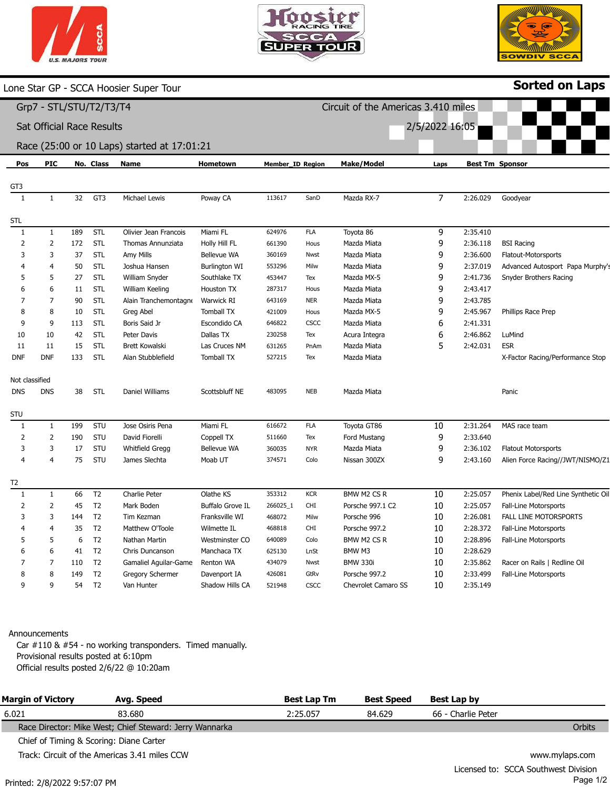|  | <b>U.S. MAJORS TOUR</b> |  |
|--|-------------------------|--|



Circuit of the Americas 3.410 miles

2/5/2022 16:05



Sorted on Laps

Lone Star GP - SCCA Hoosier Super Tour

# Grp7 - STL/STU/T2/T3/T4

Sat Official Race Results

#### Race (25:00 or 10 Laps) started at 17:01:21

| Pos            | <b>PIC</b>   |     | No. Class      | Name                  | Hometown           | <b>Member_ID Region</b> |             | <b>Make/Model</b>          | Laps           |          | <b>Best Tm Sponsor</b>              |
|----------------|--------------|-----|----------------|-----------------------|--------------------|-------------------------|-------------|----------------------------|----------------|----------|-------------------------------------|
| GT3            |              |     |                |                       |                    |                         |             |                            |                |          |                                     |
| $\overline{1}$ | 1            | 32  | GT3            | Michael Lewis         | Poway CA           | 113617                  | SanD        | Mazda RX-7                 | $\overline{7}$ | 2:26.029 | Goodyear                            |
| STL            |              |     |                |                       |                    |                         |             |                            |                |          |                                     |
| $\mathbf{1}$   | $\mathbf{1}$ | 189 | STL            | Olivier Jean Francois | Miami FL           | 624976                  | <b>FLA</b>  | Toyota 86                  | 9              | 2:35.410 |                                     |
| 2              | 2            | 172 | <b>STL</b>     | Thomas Annunziata     | Holly Hill FL      | 661390                  | Hous        | Mazda Miata                | 9              | 2:36.118 | <b>BSI Racing</b>                   |
| 3              | 3            | 37  | <b>STL</b>     | Amy Mills             | Bellevue WA        | 360169                  | Nwst        | Mazda Miata                | 9              | 2:36.600 | Flatout-Motorsports                 |
| $\overline{4}$ | 4            | 50  | STL            | Joshua Hansen         | Burlington WI      | 553296                  | Milw        | Mazda Miata                | 9              | 2:37.019 | Advanced Autosport Papa Murphy's    |
| 5              | 5            | 27  | STL            | William Snyder        | Southlake TX       | 453447                  | Tex         | Mazda MX-5                 | 9              | 2:41.736 | Snyder Brothers Racing              |
| 6              | 6            | 11  | STL            | William Keeling       | Houston TX         | 287317                  | Hous        | Mazda Miata                | 9              | 2:43.417 |                                     |
| 7              | 7            | 90  | <b>STL</b>     | Alain Tranchemontagne | Warwick RI         | 643169                  | NER         | Mazda Miata                | 9              | 2:43.785 |                                     |
| 8              | 8            | 10  | STL            | Greg Abel             | <b>Tomball TX</b>  | 421009                  | Hous        | Mazda MX-5                 | 9              | 2:45.967 | Phillips Race Prep                  |
| 9              | 9            | 113 | <b>STL</b>     | Boris Said Jr         | Escondido CA       | 646822                  | <b>CSCC</b> | Mazda Miata                | 6              | 2:41.331 |                                     |
| 10             | 10           | 42  | <b>STL</b>     | Peter Davis           | Dallas TX          | 230258                  | Tex         | Acura Integra              | 6              | 2:46.862 | LuMind                              |
| 11             | 11           | 15  | STL            | <b>Brett Kowalski</b> | Las Cruces NM      | 631265                  | PnAm        | Mazda Miata                | 5              | 2:42.031 | <b>ESR</b>                          |
| <b>DNF</b>     | <b>DNF</b>   | 133 | <b>STL</b>     | Alan Stubblefield     | <b>Tomball TX</b>  | 527215                  | Tex         | Mazda Miata                |                |          | X-Factor Racing/Performance Stop    |
|                |              |     |                |                       |                    |                         |             |                            |                |          |                                     |
| Not classified |              |     |                |                       |                    |                         |             |                            |                |          |                                     |
| <b>DNS</b>     | <b>DNS</b>   | 38  | STL            | Daniel Williams       | Scottsbluff NE     | 483095                  | <b>NEB</b>  | Mazda Miata                |                |          | Panic                               |
| <b>STU</b>     |              |     |                |                       |                    |                         |             |                            |                |          |                                     |
| 1              | $\mathbf{1}$ | 199 | STU            | Jose Osiris Pena      | Miami FL           | 616672                  | <b>FLA</b>  | Toyota GT86                | 10             | 2:31.264 | MAS race team                       |
| $\overline{2}$ | 2            | 190 | STU            | David Fiorelli        | Coppell TX         | 511660                  | Tex         | Ford Mustang               | 9              | 2:33.640 |                                     |
| 3              | 3            | 17  | STU            | Whitfield Gregg       | <b>Bellevue WA</b> | 360035                  | <b>NYR</b>  | Mazda Miata                | 9              | 2:36.102 | <b>Flatout Motorsports</b>          |
| $\overline{4}$ | 4            | 75  | STU            | James Slechta         | Moab UT            | 374571                  | Colo        | Nissan 300ZX               | 9              | 2:43.160 | Alien Force Racing//JWT/NISMO/Z1    |
|                |              |     |                |                       |                    |                         |             |                            |                |          |                                     |
| T2             |              |     |                |                       |                    |                         |             |                            |                |          |                                     |
| 1              | 1            | 66  | T <sub>2</sub> | Charlie Peter         | Olathe KS          | 353312                  | <b>KCR</b>  | BMW M2 CS R                | 10             | 2:25.057 | Phenix Label/Red Line Synthetic Oil |
| $\overline{2}$ | 2            | 45  | T <sub>2</sub> | Mark Boden            | Buffalo Grove IL   | 266025_1                | <b>CHI</b>  | Porsche 997.1 C2           | 10             | 2:25.057 | Fall-Line Motorsports               |
| 3              | 3            | 144 | T <sub>2</sub> | Tim Kezman            | Franksville WI     | 468072                  | Milw        | Porsche 996                | 10             | 2:26.081 | FALL LINE MOTORSPORTS               |
| $\overline{4}$ | 4            | 35  | T <sub>2</sub> | Matthew O'Toole       | Wilmette IL        | 468818                  | <b>CHI</b>  | Porsche 997.2              | 10             | 2:28.372 | <b>Fall-Line Motorsports</b>        |
| 5              | 5            | 6   | T <sub>2</sub> | Nathan Martin         | Westminster CO     | 640089                  | Colo        | BMW M2 CS R                | 10             | 2:28.896 | Fall-Line Motorsports               |
| 6              | 6            | 41  | T <sub>2</sub> | Chris Duncanson       | Manchaca TX        | 625130                  | LnSt        | BMW M3                     | 10             | 2:28.629 |                                     |
| 7              | 7            | 110 | T <sub>2</sub> | Gamaliel Aguilar-Game | Renton WA          | 434079                  | Nwst        | <b>BMW 330i</b>            | 10             | 2:35.862 | Racer on Rails   Redline Oil        |
| 8              | 8            | 149 | T <sub>2</sub> | Gregory Schermer      | Davenport IA       | 426081                  | GtRv        | Porsche 997.2              | 10             | 2:33.499 | <b>Fall-Line Motorsports</b>        |
| 9              | 9            | 54  | T <sub>2</sub> | Van Hunter            | Shadow Hills CA    | 521948                  | <b>CSCC</b> | <b>Chevrolet Camaro SS</b> | 10             | 2:35.149 |                                     |

#### Announcements

Car #110 & #54 - no working transponders. Timed manually. Provisional results posted at 6:10pm Official results posted 2/6/22 @ 10:20am

| <b>Margin of Victory</b> | Avg. Speed                                              | <b>Best Lap Tm</b> | <b>Best Speed</b> | Best Lap by        |                |
|--------------------------|---------------------------------------------------------|--------------------|-------------------|--------------------|----------------|
| 6.021                    | 83.680                                                  | 2:25.057           | 84.629            | 66 - Charlie Peter |                |
|                          | Race Director: Mike West; Chief Steward: Jerry Wannarka |                    |                   |                    | Orbits         |
|                          | Chief of Timing & Scoring: Diane Carter                 |                    |                   |                    |                |
|                          | Track: Circuit of the Americas 3.41 miles CCW           |                    |                   |                    | www.mylaps.com |
|                          |                                                         |                    |                   |                    |                |